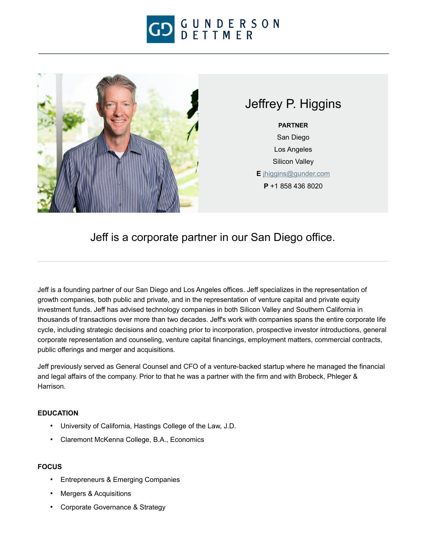



## Jeffrey P. Higgins

**PARTNER** San Diego Los Angeles Silicon Valley **E** [jhiggins@gunder.com](mailto:jhiggins@gunder.com) **P** +1 858 436 8020

Jeff is a corporate partner in our San Diego office.

Jeff is a founding partner of our San Diego and Los Angeles offices. Jeff specializes in the representation of growth companies, both public and private, and in the representation of venture capital and private equity investment funds. Jeff has advised technology companies in both Silicon Valley and Southern California in thousands of transactions over more than two decades. Jeff's work with companies spans the entire corporate life cycle, including strategic decisions and coaching prior to incorporation, prospective investor introductions, general corporate representation and counseling, venture capital financings, employment matters, commercial contracts, public offerings and merger and acquisitions.

Jeff previously served as General Counsel and CFO of a venture-backed startup where he managed the financial and legal affairs of the company. Prior to that he was a partner with the firm and with Brobeck, Phleger & Harrison.

## **EDUCATION**

- University of California, Hastings College of the Law, J.D.
- Claremont McKenna College, B.A., Economics

## **FOCUS**

- Entrepreneurs & Emerging Companies
- Mergers & Acquisitions
- Corporate Governance & Strategy